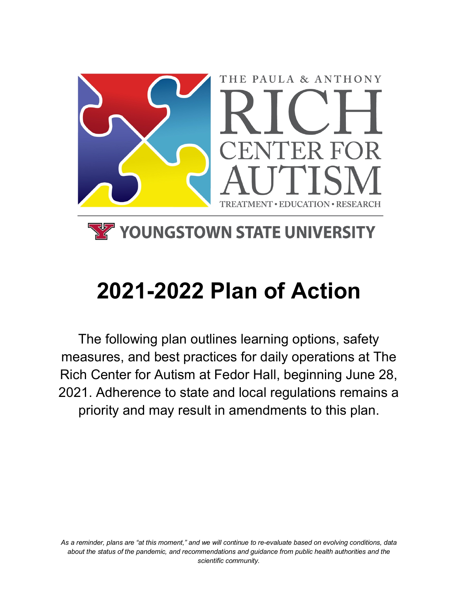

## **YZ YOUNGSTOWN STATE UNIVERSITY**

# **2021-2022 Plan of Action**

The following plan outlines learning options, safety measures, and best practices for daily operations at The Rich Center for Autism at Fedor Hall, beginning June 28, 2021. Adherence to state and local regulations remains a priority and may result in amendments to this plan.

*As a reminder, plans are "at this moment," and we will continue to re-evaluate based on evolving conditions, data about the status of the pandemic, and recommendations and guidance from public health authorities and the scientific community.*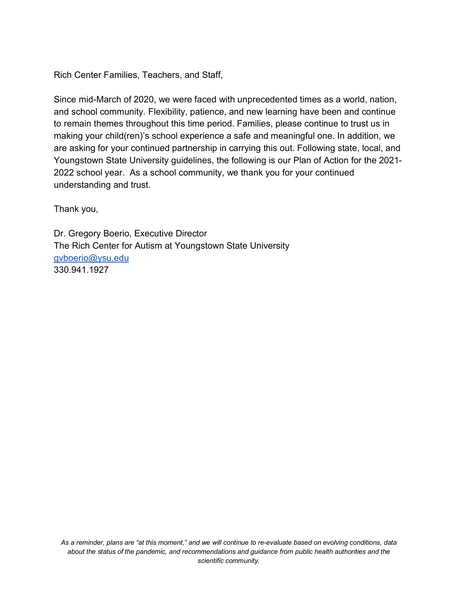Rich Center Families, Teachers, and Staff,

Since mid-March of 2020, we were faced with unprecedented times as a world, nation, and school community. Flexibility, patience, and new learning have been and continue to remain themes throughout this time period. Families, please continue to trust us in making your child(ren)'s school experience a safe and meaningful one. In addition, we are asking for your continued partnership in carrying this out. Following state, local, and Youngstown State University guidelines, the following is our Plan of Action for the 2021- 2022 school year. As a school community, we thank you for your continued understanding and trust.

Thank you,

Dr. Gregory Boerio, Executive Director The Rich Center for Autism at Youngstown State University gvboerio@ysu.edu 330.941.1927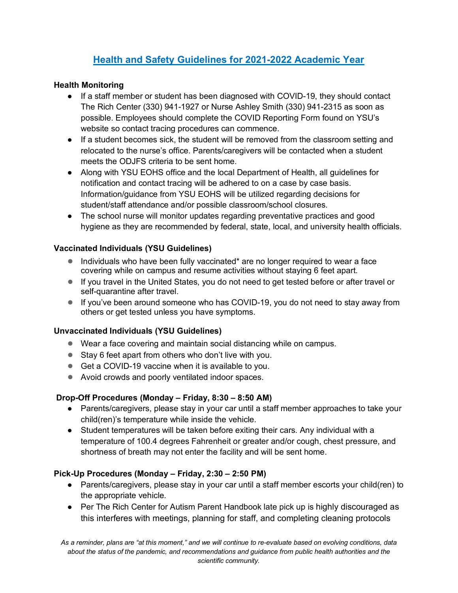### **Health and Safety Guidelines for 2021-2022 Academic Year**

#### **Health Monitoring**

- If a staff member or student has been diagnosed with COVID-19, they should contact The Rich Center (330) 941-1927 or Nurse Ashley Smith (330) 941-2315 as soon as possible. Employees should complete the COVID Reporting Form found on YSU's website so contact tracing procedures can commence.
- If a student becomes sick, the student will be removed from the classroom setting and relocated to the nurse's office. Parents/caregivers will be contacted when a student meets the ODJFS criteria to be sent home.
- Along with YSU EOHS office and the local Department of Health, all guidelines for notification and contact tracing will be adhered to on a case by case basis. Information/guidance from YSU EOHS will be utilized regarding decisions for student/staff attendance and/or possible classroom/school closures.
- The school nurse will monitor updates regarding preventative practices and good hygiene as they are recommended by federal, state, local, and university health officials.

#### **Vaccinated Individuals (YSU Guidelines)**

- Individuals who have been fully vaccinated<sup>\*</sup> are no longer required to wear a face covering while on campus and resume activities without staying 6 feet apart.
- If you travel in the United States, you do not need to get tested before or after travel or self-quarantine after travel.
- If you've been around someone who has COVID-19, you do not need to stay away from others or get tested unless you have symptoms.

#### **Unvaccinated Individuals (YSU Guidelines)**

- Wear a face covering and maintain social distancing while on campus.
- Stay 6 feet apart from others who don't live with you.
- Get a COVID-19 vaccine when it is available to you.
- Avoid crowds and poorly ventilated indoor spaces.

#### **Drop-Off Procedures (Monday – Friday, 8:30 – 8:50 AM)**

- Parents/caregivers, please stay in your car until a staff member approaches to take your child(ren)'s temperature while inside the vehicle.
- Student temperatures will be taken before exiting their cars. Any individual with a temperature of 100.4 degrees Fahrenheit or greater and/or cough, chest pressure, and shortness of breath may not enter the facility and will be sent home.

#### **Pick-Up Procedures (Monday – Friday, 2:30 – 2:50 PM)**

- Parents/caregivers, please stay in your car until a staff member escorts your child(ren) to the appropriate vehicle.
- Per The Rich Center for Autism Parent Handbook late pick up is highly discouraged as this interferes with meetings, planning for staff, and completing cleaning protocols

*As a reminder, plans are "at this moment," and we will continue to re-evaluate based on evolving conditions, data about the status of the pandemic, and recommendations and guidance from public health authorities and the scientific community.*